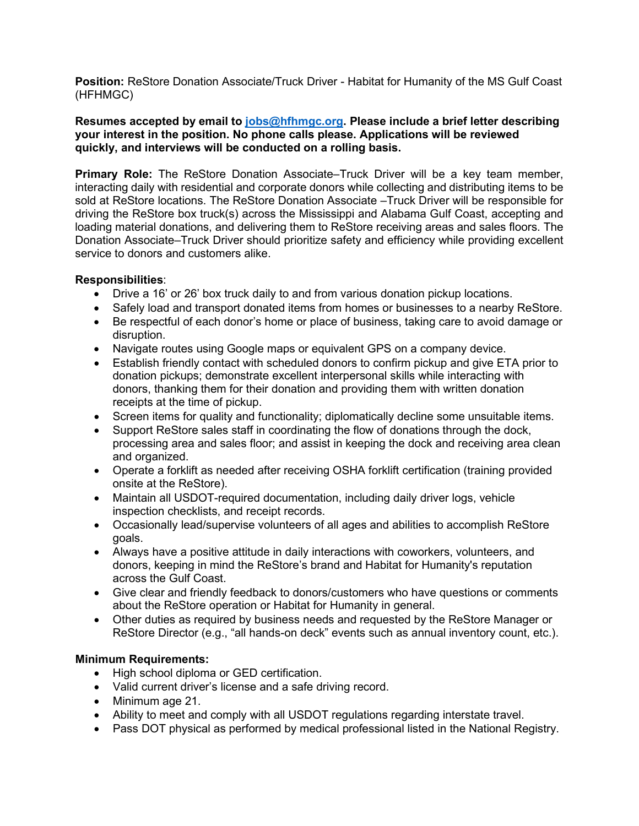**Position:** ReStore Donation Associate/Truck Driver - Habitat for Humanity of the MS Gulf Coast (HFHMGC)

## **Resumes accepted by email to [jobs@hfhmgc.org.](mailto:jobs@hfhmgc.org) Please include a brief letter describing your interest in the position. No phone calls please. Applications will be reviewed quickly, and interviews will be conducted on a rolling basis.**

**Primary Role:** The ReStore Donation Associate–Truck Driver will be a key team member, interacting daily with residential and corporate donors while collecting and distributing items to be sold at ReStore locations. The ReStore Donation Associate –Truck Driver will be responsible for driving the ReStore box truck(s) across the Mississippi and Alabama Gulf Coast, accepting and loading material donations, and delivering them to ReStore receiving areas and sales floors. The Donation Associate–Truck Driver should prioritize safety and efficiency while providing excellent service to donors and customers alike.

## **Responsibilities**:

- Drive a 16' or 26' box truck daily to and from various donation pickup locations.
- Safely load and transport donated items from homes or businesses to a nearby ReStore.
- Be respectful of each donor's home or place of business, taking care to avoid damage or disruption.
- Navigate routes using Google maps or equivalent GPS on a company device.
- Establish friendly contact with scheduled donors to confirm pickup and give ETA prior to donation pickups; demonstrate excellent interpersonal skills while interacting with donors, thanking them for their donation and providing them with written donation receipts at the time of pickup.
- Screen items for quality and functionality; diplomatically decline some unsuitable items.
- Support ReStore sales staff in coordinating the flow of donations through the dock, processing area and sales floor; and assist in keeping the dock and receiving area clean and organized.
- Operate a forklift as needed after receiving OSHA forklift certification (training provided onsite at the ReStore).
- Maintain all USDOT-required documentation, including daily driver logs, vehicle inspection checklists, and receipt records.
- Occasionally lead/supervise volunteers of all ages and abilities to accomplish ReStore goals.
- Always have a positive attitude in daily interactions with coworkers, volunteers, and donors, keeping in mind the ReStore's brand and Habitat for Humanity's reputation across the Gulf Coast.
- Give clear and friendly feedback to donors/customers who have questions or comments about the ReStore operation or Habitat for Humanity in general.
- Other duties as required by business needs and requested by the ReStore Manager or ReStore Director (e.g., "all hands-on deck" events such as annual inventory count, etc.).

## **Minimum Requirements:**

- High school diploma or GED certification.
- Valid current driver's license and a safe driving record.
- Minimum age 21.
- Ability to meet and comply with all USDOT regulations regarding interstate travel.
- Pass DOT physical as performed by medical professional listed in the National Registry.